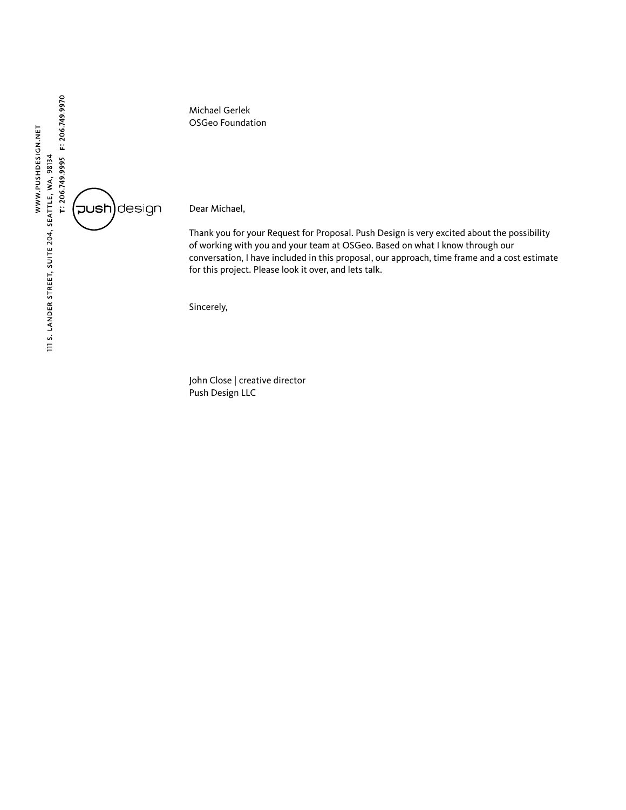

Michael Gerlek OSGeo Foundation

Dear Michael,

Thank you for your Request for Proposal. Push Design is very excited about the possibility of working with you and your team at OSGeo. Based on what I know through our conversation, I have included in this proposal, our approach, time frame and a cost estimate for this project. Please look it over, and lets talk.

Sincerely,

John Close | creative director Push Design LLC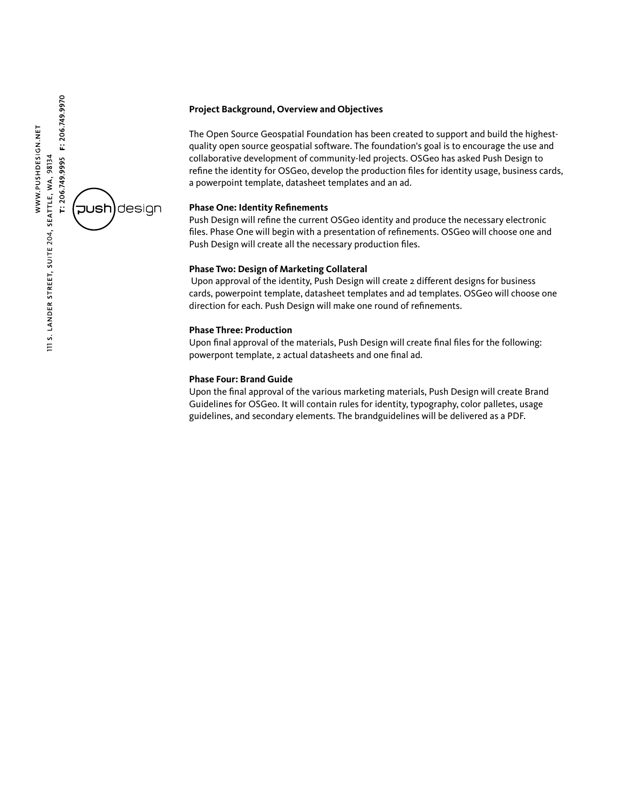## **Project Background, Overview and Objectives**

The Open Source Geospatial Foundation has been created to support and build the highestquality open source geospatial software. The foundation's goal is to encourage the use and collaborative development of community-led projects. OSGeo has asked Push Design to refine the identity for OSGeo, develop the production files for identity usage, business cards, a powerpoint template, datasheet templates and an ad.

## **Phase One: Identity Refinements**

Push Design will refine the current OSGeo identity and produce the necessary electronic files. Phase One will begin with a presentation of refinements. OSGeo will choose one and Push Design will create all the necessary production files.

# **Phase Two: Design of Marketing Collateral**

Upon approval of the identity, Push Design will create 2 different designs for business cards, powerpoint template, datasheet templates and ad templates. OSGeo will choose one direction for each. Push Design will make one round of refinements.

#### **Phase Three: Production**

Upon final approval of the materials, Push Design will create final files for the following: powerpont template, 2 actual datasheets and one final ad.

## **Phase Four: Brand Guide**

Upon the final approval of the various marketing materials, Push Design will create Brand Guidelines for OSGeo. It will contain rules for identity, typography, color palletes, usage guidelines, and secondary elements. The brandguidelines will be delivered as a PDF.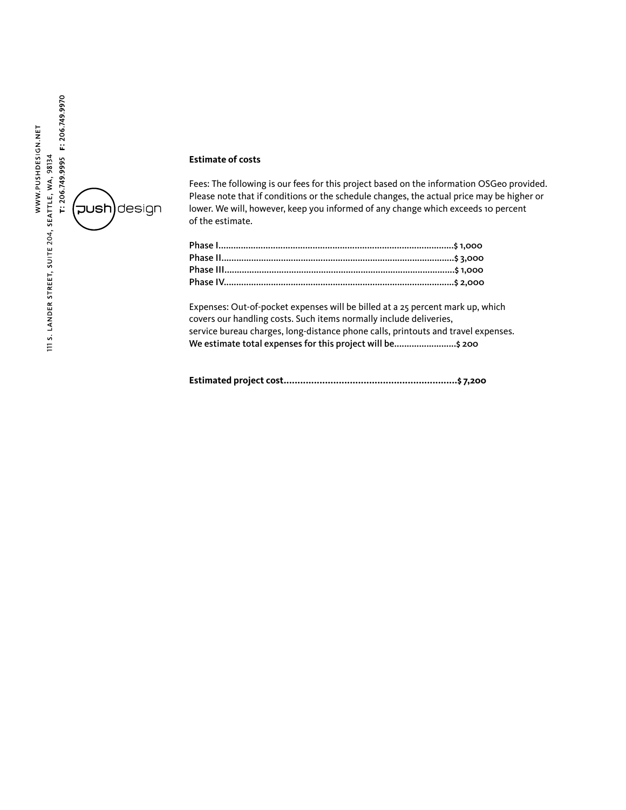

### **Estimate of costs**

Fees: The following is our fees for this project based on the information OSGeo provided. Please note that if conditions or the schedule changes, the actual price may be higher or lower. We will, however, keep you informed of any change which exceeds 10 percent of the estimate.

Expenses: Out-of-pocket expenses will be billed at a 25 percent mark up, which covers our handling costs. Such items normally include deliveries, service bureau charges, long-distance phone calls, printouts and travel expenses. We estimate total expenses for this project will be..........................\$ 200

**Estimated project cost...............................................................\$ 7,200**